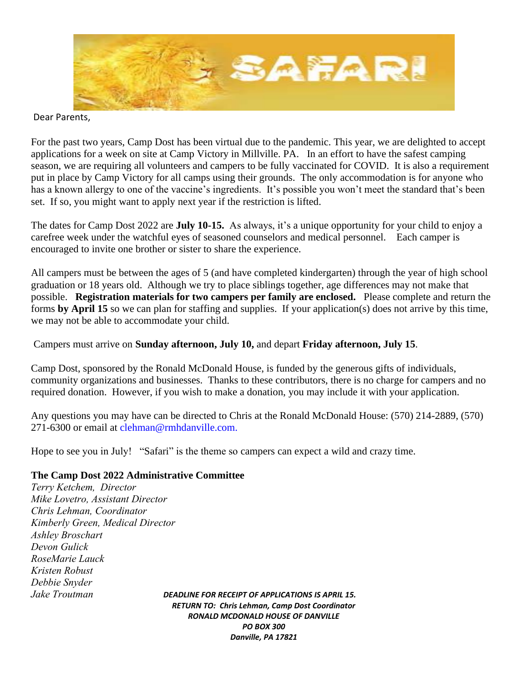

#### Dear Parents,

For the past two years, Camp Dost has been virtual due to the pandemic. This year, we are delighted to accept applications for a week on site at Camp Victory in Millville. PA. In an effort to have the safest camping season, we are requiring all volunteers and campers to be fully vaccinated for COVID. It is also a requirement put in place by Camp Victory for all camps using their grounds. The only accommodation is for anyone who has a known allergy to one of the vaccine's ingredients. It's possible you won't meet the standard that's been set. If so, you might want to apply next year if the restriction is lifted.

The dates for Camp Dost 2022 are **July 10-15.** As always, it's a unique opportunity for your child to enjoy a carefree week under the watchful eyes of seasoned counselors and medical personnel.Each camper is encouraged to invite one brother or sister to share the experience.

All campers must be between the ages of 5 (and have completed kindergarten) through the year of high school graduation or 18 years old. Although we try to place siblings together, age differences may not make that possible. **Registration materials for two campers per family are enclosed.** Please complete and return the forms **by April 15** so we can plan for staffing and supplies. If your application(s) does not arrive by this time, we may not be able to accommodate your child.

## Campers must arrive on **Sunday afternoon, July 10,** and depart **Friday afternoon, July 15**.

Camp Dost, sponsored by the Ronald McDonald House, is funded by the generous gifts of individuals, community organizations and businesses. Thanks to these contributors, there is no charge for campers and no required donation. However, if you wish to make a donation, you may include it with your application.

Any questions you may have can be directed to Chris at the Ronald McDonald House: (570) 214-2889, (570) 271-6300 or email at clehman@rmhdanville.com.

Hope to see you in July! "Safari" is the theme so campers can expect a wild and crazy time.

### **The Camp Dost 2022 Administrative Committee**

*Terry Ketchem, Director Mike Lovetro, Assistant Director Chris Lehman, Coordinator Kimberly Green, Medical Director Ashley Broschart Devon Gulick RoseMarie Lauck Kristen Robust Debbie Snyder Jake Troutman DEADLINE FOR RECEIPT OF APPLICATIONS IS APRIL 15.* 

*RETURN TO: Chris Lehman, Camp Dost Coordinator RONALD MCDONALD HOUSE OF DANVILLE PO BOX 300 Danville, PA 17821*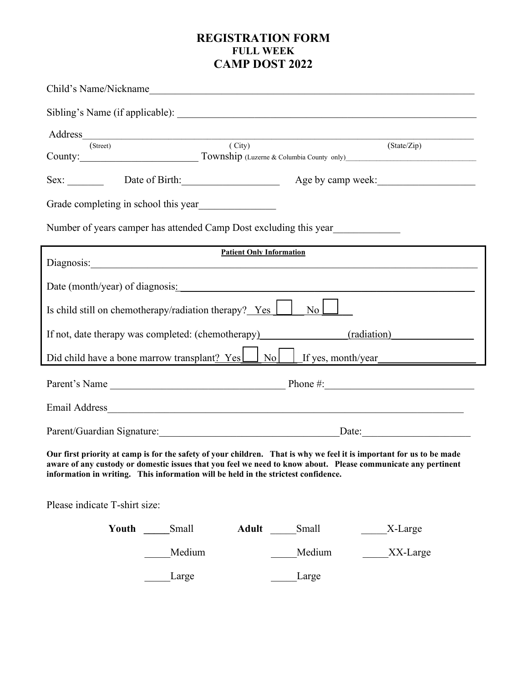## **REGISTRATION FORM FULL WEEK CAMP DOST 2022**

| Child's Name/Nickname                                                              |                                                                                                                                                                                                                                       |
|------------------------------------------------------------------------------------|---------------------------------------------------------------------------------------------------------------------------------------------------------------------------------------------------------------------------------------|
|                                                                                    |                                                                                                                                                                                                                                       |
| Address (Street) (City)                                                            |                                                                                                                                                                                                                                       |
|                                                                                    | (State/Zip)<br>County: Township (Luzerne & Columbia County only)                                                                                                                                                                      |
|                                                                                    |                                                                                                                                                                                                                                       |
| Grade completing in school this year<br><u>Figure 2016</u>                         |                                                                                                                                                                                                                                       |
| Number of years camper has attended Camp Dost excluding this year                  |                                                                                                                                                                                                                                       |
| Diagnosis: Diagnosis:                                                              | <b>Patient Only Information</b>                                                                                                                                                                                                       |
| Date (month/year) of diagnosis:                                                    |                                                                                                                                                                                                                                       |
| Is child still on chemotherapy/radiation therapy? Yes                              | $\overline{N_{0}}$                                                                                                                                                                                                                    |
| If not, date therapy was completed: (chemotherapy) (radiation) (radiation)         |                                                                                                                                                                                                                                       |
|                                                                                    |                                                                                                                                                                                                                                       |
|                                                                                    |                                                                                                                                                                                                                                       |
|                                                                                    |                                                                                                                                                                                                                                       |
|                                                                                    | Parent/Guardian Signature: Date: Date:                                                                                                                                                                                                |
| information in writing. This information will be held in the strictest confidence. | Our first priority at camp is for the safety of your children. That is why we feel it is important for us to be made<br>aware of any custody or domestic issues that you feel we need to know about. Please communicate any pertinent |
| Please indicate T-shirt size:                                                      |                                                                                                                                                                                                                                       |
| Youth Small                                                                        | Adult Small<br>X-Large                                                                                                                                                                                                                |
| Medium                                                                             | Medium<br>XX-Large                                                                                                                                                                                                                    |

Large Large Large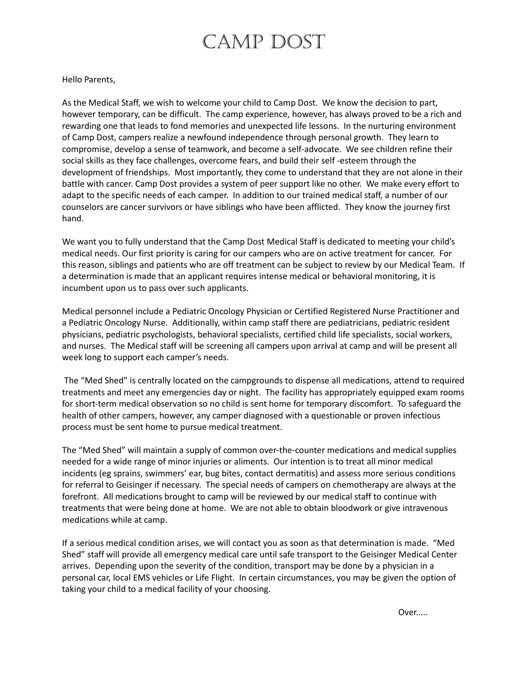# CAMP DOST

#### Hello Parents,

As the Medical Staff, we wish to welcome your child to Camp Dost. We know the decision to part, however temporary, can be difficult. The camp experience, however, has always proved to be a rich and rewarding one that leads to fond memories and unexpected life lessons. In the nurturing environment of Camp Dost, campers realize a newfound independence through personal growth. They learn to compromise, develop a sense of teamwork, and become a self-advocate. We see children refine their social skills as they face challenges, overcome fears, and build their self -esteem through the development of friendships. Most importantly, they come to understand that they are not alone in their battle with cancer. Camp Dost provides a system of peer support like no other. We make every effort to adapt to the specific needs of each camper. In addition to our trained medical staff, a number of our counselors are cancer survivors or have siblings who have been afflicted. They know the journey first hand.

We want you to fully understand that the Camp Dost Medical Staff is dedicated to meeting your child's medical needs. Our first priority is caring for our campers who are on active treatment for cancer. For this reason, siblings and patients who are off treatment can be subject to review by our Medical Team. If a determination is made that an applicant requires intense medical or behavioral monitoring, it is incumbent upon us to pass over such applicants.

Medical personnel include a Pediatric Oncology Physician or Certified Registered Nurse Practitioner and a Pediatric Oncology Nurse. Additionally, within camp staff there are pediatricians, pediatric resident physicians, pediatric psychologists, behavioral specialists, certified child life specialists, social workers, and nurses. The Medical staff will be screening all campers upon arrival at camp and will be present all week long to support each camper's needs.

The "Med Shed" is centrally located on the campgrounds to dispense all medications, attend to required treatments and meet any emergencies day or night. The facility has appropriately equipped exam rooms for short-term medical observation so no child is sent home for temporary discomfort. To safeguard the health of other campers, however, any camper diagnosed with a questionable or proven infectious process must be sent home to pursue medical treatment.

The "Med Shed" will maintain a supply of common over-the-counter medications and medical supplies needed for a wide range of minor injuries or aliments. Our intention is to treat all minor medical incidents (eg sprains, swimmers' ear, bug bites, contact dermatitis) and assess more serious conditions for referral to Geisinger if necessary. The special needs of campers on chemotherapy are always at the forefront. All medications brought to camp will be reviewed by our medical staff to continue with treatments that were being done at home. We are not able to obtain bloodwork or give intravenous medications while at camp.

If a serious medical condition arises, we will contact you as soon as that determination is made. "Med Shed" staff will provide all emergency medical care until safe transport to the Geisinger Medical Center arrives. Depending upon the severity of the condition, transport may be done by a physician in a personal car, local EMS vehicles or Life Flight. In certain circumstances, you may be given the option of taking your child to a medical facility of your choosing.

Over.....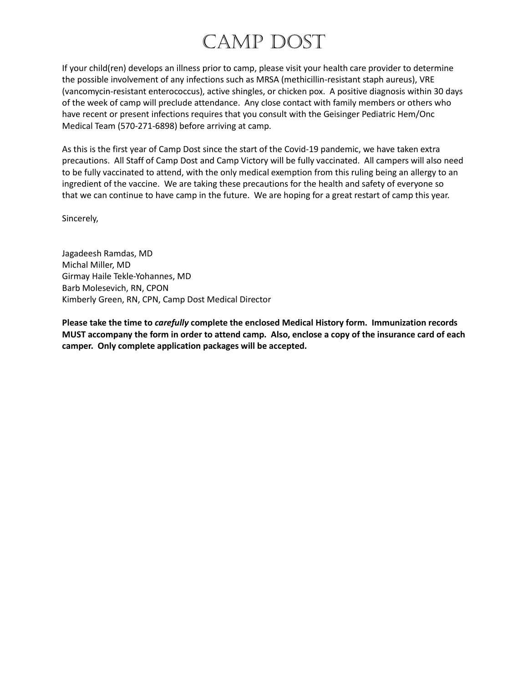# CAMP DOST

If your child(ren) develops an illness prior to camp, please visit your health care provider to determine the possible involvement of any infections such as MRSA (methicillin-resistant staph aureus), VRE (vancomycin-resistant enterococcus), active shingles, or chicken pox. A positive diagnosis within 30 days of the week of camp will preclude attendance. Any close contact with family members or others who have recent or present infections requires that you consult with the Geisinger Pediatric Hem/Onc Medical Team (570-271-6898) before arriving at camp.

As this is the first year of Camp Dost since the start of the Covid-19 pandemic, we have taken extra precautions. All Staff of Camp Dost and Camp Victory will be fully vaccinated. All campers will also need to be fully vaccinated to attend, with the only medical exemption from this ruling being an allergy to an ingredient of the vaccine. We are taking these precautions for the health and safety of everyone so that we can continue to have camp in the future. We are hoping for a great restart of camp this year.

Sincerely,

Jagadeesh Ramdas, MD Michal Miller, MD Girmay Haile Tekle-Yohannes, MD Barb Molesevich, RN, CPON Kimberly Green, RN, CPN, Camp Dost Medical Director

**Please take the time to** *carefully* **complete the enclosed Medical History form. Immunization records MUST accompany the form in order to attend camp. Also, enclose a copy of the insurance card of each camper. Only complete application packages will be accepted.**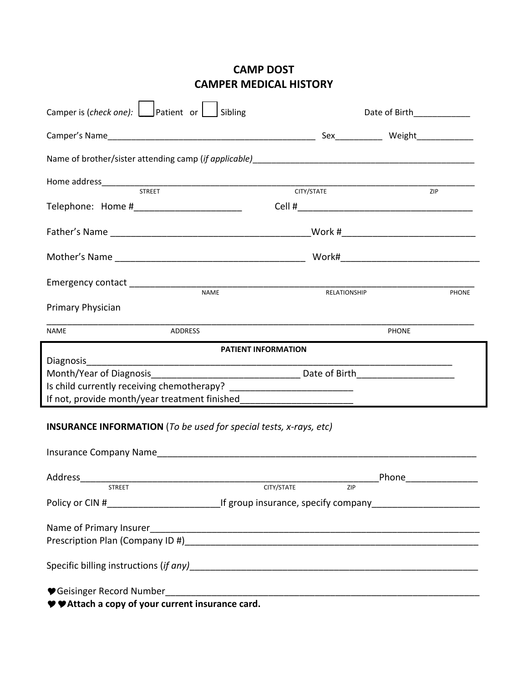# **CAMP DOST CAMPER MEDICAL HISTORY**

| Camper is (check one): $\Box$ Patient or $\Box$ Sibling                          |                   | Date of Birth____________          |              |  |
|----------------------------------------------------------------------------------|-------------------|------------------------------------|--------------|--|
|                                                                                  |                   | Sex___________ Weight_____________ |              |  |
|                                                                                  |                   |                                    |              |  |
| STREET                                                                           |                   | ZIP                                |              |  |
|                                                                                  | CITY/STATE        |                                    |              |  |
|                                                                                  |                   |                                    |              |  |
|                                                                                  |                   |                                    |              |  |
|                                                                                  |                   |                                    | <b>PHONE</b> |  |
| Primary Physician                                                                |                   |                                    |              |  |
| <b>ADDRESS</b><br>NAME                                                           | PHONE             |                                    |              |  |
| <b>PATIENT INFORMATION</b>                                                       |                   |                                    |              |  |
| Diagnosis                                                                        |                   |                                    |              |  |
|                                                                                  |                   |                                    |              |  |
| If not, provide month/year treatment finished___________________________________ |                   |                                    |              |  |
| <b>INSURANCE INFORMATION</b> (To be used for special tests, x-rays, etc)         |                   |                                    |              |  |
| Address                                                                          |                   | Phone                              |              |  |
| <b>STREET</b>                                                                    | CITY/STATE<br>ZIP |                                    |              |  |
|                                                                                  |                   |                                    |              |  |
|                                                                                  |                   |                                    |              |  |
|                                                                                  |                   |                                    |              |  |
| ♥ ♥ Attach a copy of your current insurance card.                                |                   |                                    |              |  |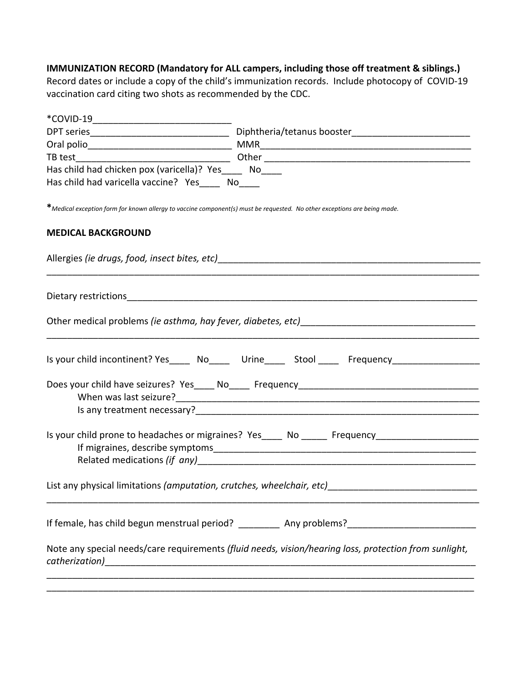## **IMMUNIZATION RECORD (Mandatory for ALL campers, including those off treatment & siblings.)**

Record dates or include a copy of the child's immunization records. Include photocopy of COVID‐19 vaccination card citing two shots as recommended by the CDC.

| *COVID-19                                              |                                                                                                                                                                                                                                        |
|--------------------------------------------------------|----------------------------------------------------------------------------------------------------------------------------------------------------------------------------------------------------------------------------------------|
|                                                        |                                                                                                                                                                                                                                        |
|                                                        |                                                                                                                                                                                                                                        |
|                                                        |                                                                                                                                                                                                                                        |
| Has child had chicken pox (varicella)? Yes_____ No____ |                                                                                                                                                                                                                                        |
| Has child had varicella vaccine? Yes____ No____        |                                                                                                                                                                                                                                        |
|                                                        | *Medical exception form for known allergy to vaccine component(s) must be requested. No other exceptions are being made.                                                                                                               |
| <b>MEDICAL BACKGROUND</b>                              |                                                                                                                                                                                                                                        |
|                                                        |                                                                                                                                                                                                                                        |
|                                                        |                                                                                                                                                                                                                                        |
|                                                        |                                                                                                                                                                                                                                        |
|                                                        | Is your child incontinent? Yes _____ No ______ Urine ______ Stool ______ Frequency                                                                                                                                                     |
|                                                        |                                                                                                                                                                                                                                        |
|                                                        |                                                                                                                                                                                                                                        |
|                                                        | Is any treatment necessary?<br><u> and the contract of the contract of the contract of the contract of the contract of the contract of the contract of the contract of the contract of the contract of the contract of the contrac</u> |
|                                                        | Is your child prone to headaches or migraines? Yes____ No _____ Frequency__________________________                                                                                                                                    |
|                                                        |                                                                                                                                                                                                                                        |
|                                                        | If female, has child begun menstrual period? ____________ Any problems?_____________________________                                                                                                                                   |
|                                                        | Note any special needs/care requirements (fluid needs, vision/hearing loss, protection from sunlight,                                                                                                                                  |
|                                                        |                                                                                                                                                                                                                                        |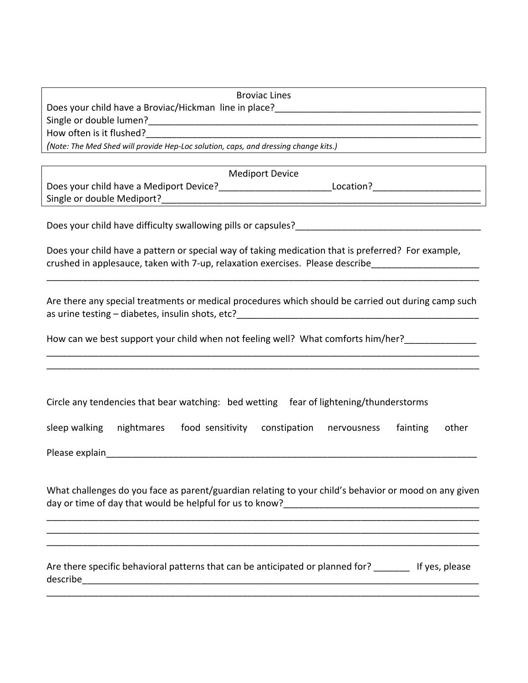| <b>Broviac Lines</b>                                                                               |
|----------------------------------------------------------------------------------------------------|
| Does your child have a Broviac/Hickman line in place?                                              |
| Single or double lumen?                                                                            |
| How often is it flushed?                                                                           |
| (Note: The Med Shed will provide Hep-Loc solution, caps, and dressing change kits.)                |
|                                                                                                    |
| <b>Mediport Device</b>                                                                             |
| Does your child have a Mediport Device?<br>Location?                                               |
| Single or double Mediport?                                                                         |
|                                                                                                    |
| Does your child have difficulty swallowing pills or capsules?                                      |
|                                                                                                    |
| Does your child have a pattern or special way of taking medication that is preferred? For example, |

| crushed in applesauce, taken with 7-up, relaxation exercises. Please describe |  |  |  |
|-------------------------------------------------------------------------------|--|--|--|

Are there any special treatments or medical procedures which should be carried out during camp such as urine testing – diabetes, insulin shots, etc?

\_\_\_\_\_\_\_\_\_\_\_\_\_\_\_\_\_\_\_\_\_\_\_\_\_\_\_\_\_\_\_\_\_\_\_\_\_\_\_\_\_\_\_\_\_\_\_\_\_\_\_\_\_\_\_\_\_\_\_\_\_\_\_\_\_\_\_\_\_\_\_\_\_\_\_\_\_\_\_\_\_\_\_\_ \_\_\_\_\_\_\_\_\_\_\_\_\_\_\_\_\_\_\_\_\_\_\_\_\_\_\_\_\_\_\_\_\_\_\_\_\_\_\_\_\_\_\_\_\_\_\_\_\_\_\_\_\_\_\_\_\_\_\_\_\_\_\_\_\_\_\_\_\_\_\_\_\_\_\_\_\_\_\_\_\_\_\_\_

How can we best support your child when not feeling well? What comforts him/her?

| Circle any tendencies that bear watching: bed wetting fear of lightening/thunderstorms |  |  |
|----------------------------------------------------------------------------------------|--|--|
|----------------------------------------------------------------------------------------|--|--|

|  | sleep walking nightmares | food sensitivity constipation nervousness |  |  | fainting other |  |
|--|--------------------------|-------------------------------------------|--|--|----------------|--|
|--|--------------------------|-------------------------------------------|--|--|----------------|--|

Please explain and the set of the set of the set of the set of the set of the set of the set of the set of the set of the set of the set of the set of the set of the set of the set of the set of the set of the set of the s

What challenges do you face as parent/guardian relating to your child's behavior or mood on any given day or time of day that would be helpful for us to know?\_\_\_\_\_\_\_\_\_\_\_\_\_\_\_\_\_\_\_\_\_\_\_\_\_\_\_\_\_\_\_\_\_\_\_\_\_\_

\_\_\_\_\_\_\_\_\_\_\_\_\_\_\_\_\_\_\_\_\_\_\_\_\_\_\_\_\_\_\_\_\_\_\_\_\_\_\_\_\_\_\_\_\_\_\_\_\_\_\_\_\_\_\_\_\_\_\_\_\_\_\_\_\_\_\_\_\_\_\_\_\_\_\_\_\_\_\_\_\_\_\_\_

\_\_\_\_\_\_\_\_\_\_\_\_\_\_\_\_\_\_\_\_\_\_\_\_\_\_\_\_\_\_\_\_\_\_\_\_\_\_\_\_\_\_\_\_\_\_\_\_\_\_\_\_\_\_\_\_\_\_\_\_\_\_\_\_\_\_\_\_\_\_\_\_\_\_\_\_\_\_\_\_\_\_\_\_

\_\_\_\_\_\_\_\_\_\_\_\_\_\_\_\_\_\_\_\_\_\_\_\_\_\_\_\_\_\_\_\_\_\_\_\_\_\_\_\_\_\_\_\_\_\_\_\_\_\_\_\_\_\_\_\_\_\_\_\_\_\_\_\_\_\_\_\_\_\_\_\_\_\_\_\_\_\_\_\_\_\_\_\_

Are there specific behavioral patterns that can be anticipated or planned for? \_\_\_\_\_\_\_ If yes, please describe\_\_\_\_\_\_\_\_\_\_\_\_\_\_\_\_\_\_\_\_\_\_\_\_\_\_\_\_\_\_\_\_\_\_\_\_\_\_\_\_\_\_\_\_\_\_\_\_\_\_\_\_\_\_\_\_\_\_\_\_\_\_\_\_\_\_\_\_\_\_\_\_\_\_\_\_\_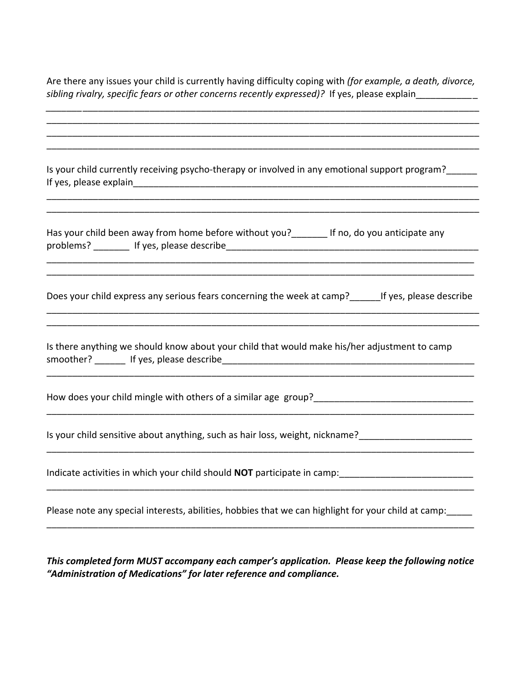Are there any issues your child is currently having difficulty coping with *(for example, a death, divorce,*  sibling rivalry, specific fears or other concerns recently expressed)? If yes, please explain\_\_\_\_\_\_\_\_\_\_\_\_

| Is your child currently receiving psycho-therapy or involved in any emotional support program?        |
|-------------------------------------------------------------------------------------------------------|
| Has your child been away from home before without you?________ If no, do you anticipate any           |
| Does your child express any serious fears concerning the week at camp?_______ If yes, please describe |
| Is there anything we should know about your child that would make his/her adjustment to camp          |
|                                                                                                       |
|                                                                                                       |
|                                                                                                       |
| Please note any special interests, abilities, hobbies that we can highlight for your child at camp:   |

*This completed form MUST accompany each camper's application. Please keep the following notice "Administration of Medications" for later reference and compliance.*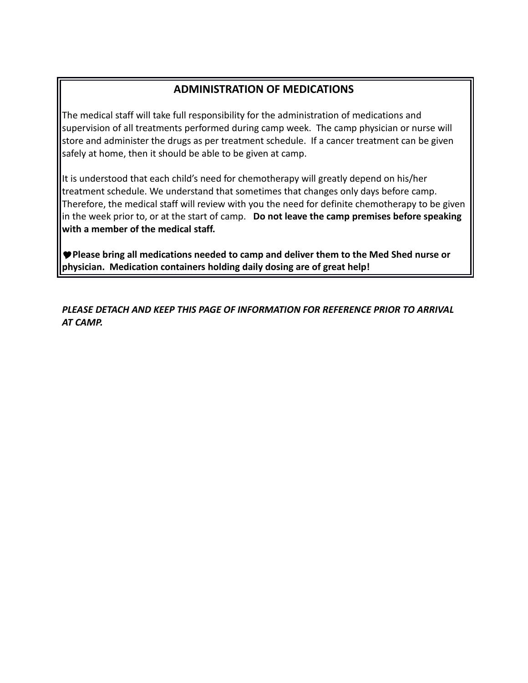# **ADMINISTRATION OF MEDICATIONS**

The medical staff will take full responsibility for the administration of medications and supervision of all treatments performed during camp week. The camp physician or nurse will store and administer the drugs as per treatment schedule. If a cancer treatment can be given safely at home, then it should be able to be given at camp.

It is understood that each child's need for chemotherapy will greatly depend on his/her treatment schedule. We understand that sometimes that changes only days before camp. Therefore, the medical staff will review with you the need for definite chemotherapy to be given in the week prior to, or at the start of camp. **Do not leave the camp premises before speaking with a member of the medical staff.**

**Please bring all medications needed to camp and deliver them to the Med Shed nurse or physician. Medication containers holding daily dosing are of great help!**

*PLEASE DETACH AND KEEP THIS PAGE OF INFORMATION FOR REFERENCE PRIOR TO ARRIVAL AT CAMP.*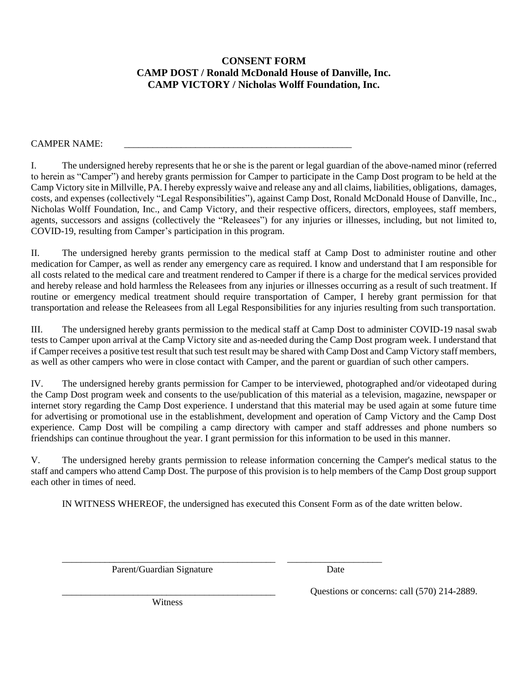## **CONSENT FORM CAMP DOST / Ronald McDonald House of Danville, Inc. CAMP VICTORY / Nicholas Wolff Foundation, Inc.**

#### CAMPER NAME:

I. The undersigned hereby represents that he or she is the parent or legal guardian of the above-named minor (referred to herein as "Camper") and hereby grants permission for Camper to participate in the Camp Dost program to be held at the Camp Victory site in Millville, PA. I hereby expressly waive and release any and all claims, liabilities, obligations, damages, costs, and expenses (collectively "Legal Responsibilities"), against Camp Dost, Ronald McDonald House of Danville, Inc., Nicholas Wolff Foundation, Inc., and Camp Victory, and their respective officers, directors, employees, staff members, agents, successors and assigns (collectively the "Releasees") for any injuries or illnesses, including, but not limited to, COVID-19, resulting from Camper's participation in this program.

II. The undersigned hereby grants permission to the medical staff at Camp Dost to administer routine and other medication for Camper, as well as render any emergency care as required. I know and understand that I am responsible for all costs related to the medical care and treatment rendered to Camper if there is a charge for the medical services provided and hereby release and hold harmless the Releasees from any injuries or illnesses occurring as a result of such treatment. If routine or emergency medical treatment should require transportation of Camper, I hereby grant permission for that transportation and release the Releasees from all Legal Responsibilities for any injuries resulting from such transportation.

III. The undersigned hereby grants permission to the medical staff at Camp Dost to administer COVID-19 nasal swab tests to Camper upon arrival at the Camp Victory site and as-needed during the Camp Dost program week. I understand that if Camper receives a positive test result that such test result may be shared with Camp Dost and Camp Victory staff members, as well as other campers who were in close contact with Camper, and the parent or guardian of such other campers.

IV. The undersigned hereby grants permission for Camper to be interviewed, photographed and/or videotaped during the Camp Dost program week and consents to the use/publication of this material as a television, magazine, newspaper or internet story regarding the Camp Dost experience. I understand that this material may be used again at some future time for advertising or promotional use in the establishment, development and operation of Camp Victory and the Camp Dost experience. Camp Dost will be compiling a camp directory with camper and staff addresses and phone numbers so friendships can continue throughout the year. I grant permission for this information to be used in this manner.

V. The undersigned hereby grants permission to release information concerning the Camper's medical status to the staff and campers who attend Camp Dost. The purpose of this provision is to help members of the Camp Dost group support each other in times of need.

IN WITNESS WHEREOF, the undersigned has executed this Consent Form as of the date written below.

\_\_\_\_\_\_\_\_\_\_\_\_\_\_\_\_\_\_\_\_\_\_\_\_\_\_\_\_\_\_\_\_\_\_\_\_\_\_\_\_\_\_\_\_\_ \_\_\_\_\_\_\_\_\_\_\_\_\_\_\_\_\_\_\_\_

Parent/Guardian Signature Date

Witness

Questions or concerns: call (570) 214-2889.